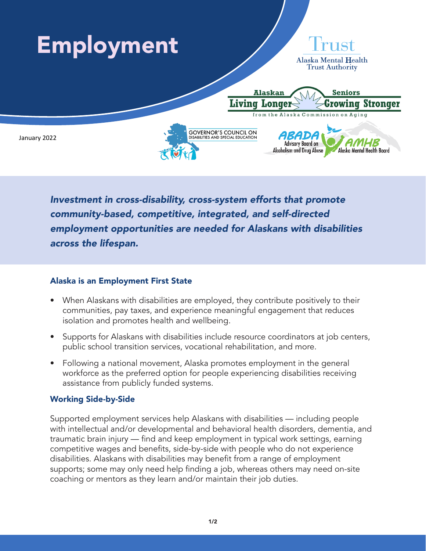

*Investment in cross-disability, cross-system efforts that promote community-based, competitive, integrated, and self-directed employment opportunities are needed for Alaskans with disabilities across the lifespan.*

## Alaska is an Employment First State

- When Alaskans with disabilities are employed, they contribute positively to their communities, pay taxes, and experience meaningful engagement that reduces isolation and promotes health and wellbeing.
- Supports for Alaskans with disabilities include resource coordinators at job centers, public school transition services, vocational rehabilitation, and more.
- Following a national movement, Alaska promotes employment in the general workforce as the preferred option for people experiencing disabilities receiving assistance from publicly funded systems.

## Working Side-by-Side

Supported employment services help Alaskans with disabilities — including people with intellectual and/or developmental and behavioral health disorders, dementia, and traumatic brain injury — find and keep employment in typical work settings, earning competitive wages and benefits, side-by-side with people who do not experience disabilities. Alaskans with disabilities may benefit from a range of employment supports; some may only need help finding a job, whereas others may need on-site coaching or mentors as they learn and/or maintain their job duties.